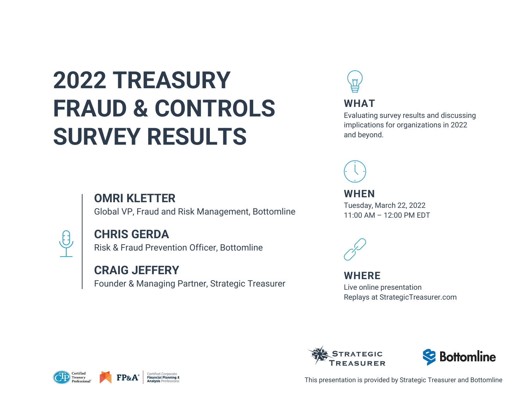# **2022 TREASURY FRAUD & CONTROLS SURVEY RESULTS**

### **OMRI KLETTER**

Global VP, Fraud and Risk Management, Bottomline



### **CHRIS GERDA**

Risk & Fraud Prevention Officer, Bottomline

### **CRAIG JEFFERY**

Founder & Managing Partner, Strategic Treasurer











This presentation is provided by Strategic Treasurer and Bottomline

#### **WHAT**

Evaluating survey results and discussing implications for organizations in 2022 and beyond.



**WHEN** Tuesday, March 22, 2022 11:00 AM – 12:00 PM EDT



### **WHERE**

Live online presentation Replays at StrategicTreasurer.com

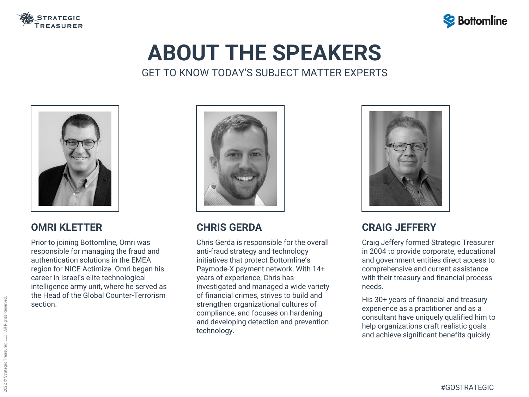

# **ABOUT THE SPEAKERS** GET TO KNOW TODAY'S SUBJECT MATTER EXPERTS



### **CRAIG JEFFERY**

Craig Jeffery formed Strategic Treasurer in 2004 to provide corporate, educational and government entities direct access to comprehensive and current assistance with their treasury and financial process needs.

His 30+ years of financial and treasury experience as a practitioner and as a consultant have uniquely qualified him to help organizations craft realistic goals and achieve significant benefits quickly.

### **OMRI KLETTER**

Prior to joining Bottomline, Omri was responsible for managing the fraud and authentication solutions in the EMEA region for NICE Actimize. Omri began his career in Israel's elite technological intelligence army unit, where he served as the Head of the Global Counter-Terrorism section.



### **CHRIS GERDA**

Chris Gerda is responsible for the overall anti-fraud strategy and technology initiatives that protect Bottomline's Paymode-X payment network. With 14+ years of experience, Chris has investigated and managed a wide variety of financial crimes, strives to build and strengthen organizational cultures of compliance, and focuses on hardening and developing detection and prevention technology.



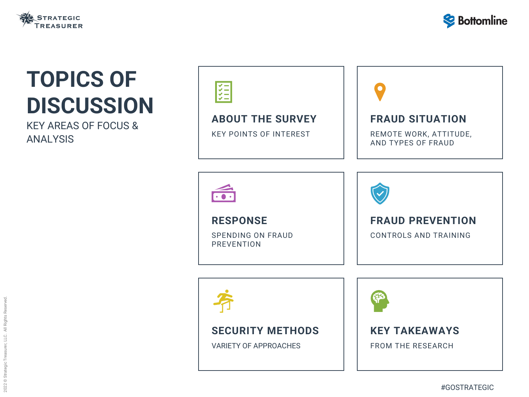### **ABOUT THE SURVEY**

KEY POINTS OF INTEREST



### **RESPONSE**

SPENDING ON FRAUD PREVENTION





#### **SECURITY METHODS**

VARIETY OF APPROACHES





# **TOPICS OF DISCUSSION**

KEY AREAS OF FOCUS & ANALYSIS

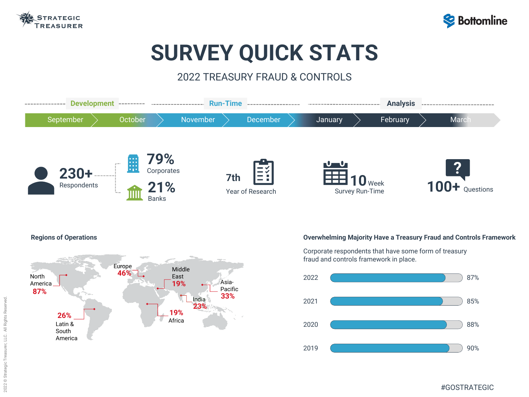



#### **Overwhelming Majority Have a Treasury Fraud and Controls Framework**



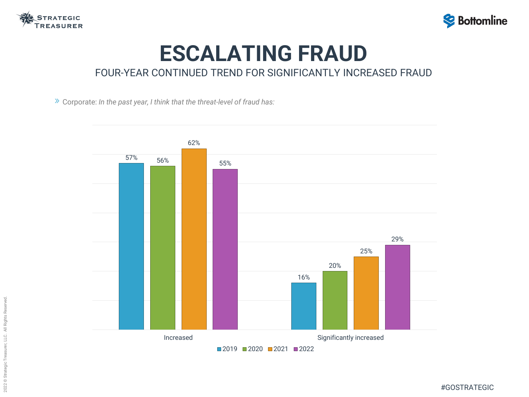

## **ESCALATING FRAUD** FOUR-YEAR CONTINUED TREND FOR SIGNIFICANTLY INCREASED FRAUD

Corporate: *In the past year, I think that the threat-level of fraud has:*





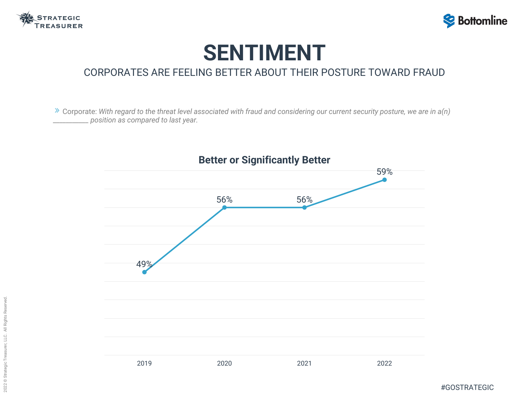



### **SENTIMENT** CORPORATES ARE FEELING BETTER ABOUT THEIR POSTURE TOWARD FRAUD

Corporate: *With regard to the threat level associated with fraud and considering our current security posture, we are in a(n) \_\_\_\_\_\_\_\_\_\_\_ position as compared to last year.*



#### **Better or Significantly Better**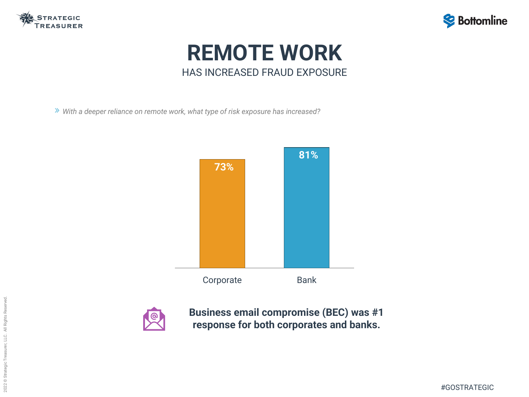





## **REMOTE WORK** HAS INCREASED FRAUD EXPOSURE

*With a deeper reliance on remote work, what type of risk exposure has increased?*





**Business email compromise (BEC) was #1 response for both corporates and banks.**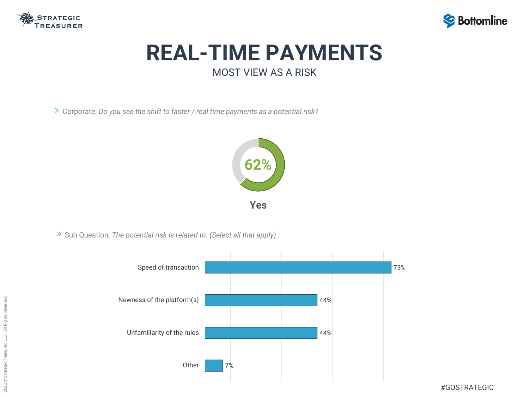



## **REAL-TIME PAYMENTS** MOST VIEW AS A RISK

Corporate: *Do you see the shift to faster / real time payments as a potential risk?*

Sub Question: *The potential risk is related to: (Select all that apply)*



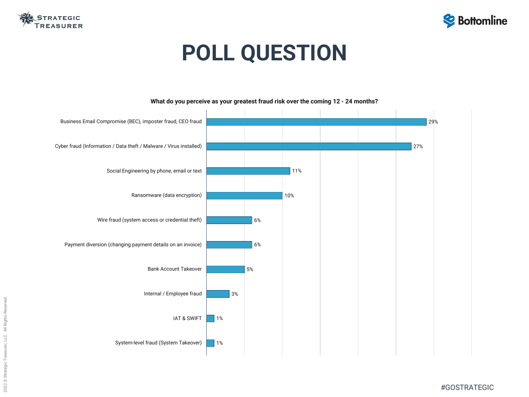



# **POLL QUESTION**



#### **What do you perceive as your greatest fraud risk over the coming 12 - 24 months?**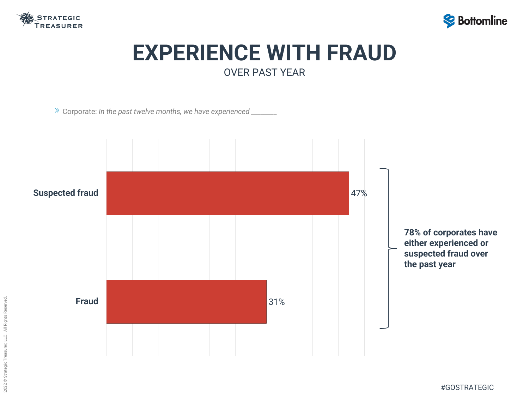2022 © Strategic Treasurer, LLC. All Rights Reserved. 2022 © Strategic Treasurer, LLC. All Rights Reserved.



#GOSTRATEGIC



### **EXPERIENCE WITH FRAUD** OVER PAST YEAR

Corporate: *In the past twelve months, we have experienced \_\_\_\_\_\_\_\_*



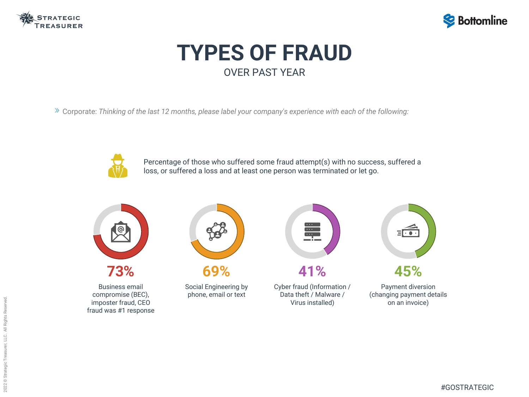

## **TYPES OF FRAUD** OVER PAST YEAR

Corporate: *Thinking of the last 12 months, please label your company's experience with each of the following:*



Social Engineering by **69%**

phone, email or text



Payment diversion (changing payment details on an invoice)



Business email compromise (BEC), imposter fraud, CEO fraud was #1 response





Cyber fraud (Information / Data theft / Malware / Virus installed) **41%**



Percentage of those who suffered some fraud attempt(s) with no success, suffered a loss, or suffered a loss and at least one person was terminated or let go.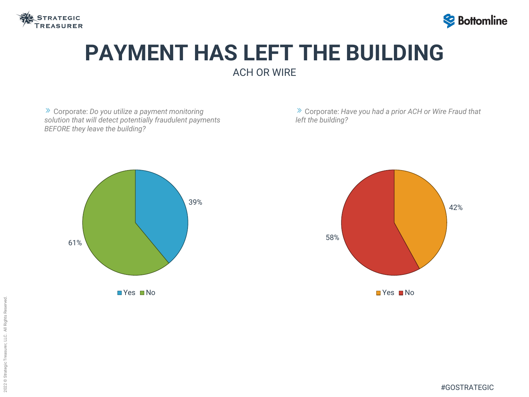



### **PAYMENT HAS LEFT THE BUILDING**  ACH OR WIRE

Corporate: *Do you utilize a payment monitoring solution that will detect potentially fraudulent payments BEFORE they leave the building?*

Corporate: *Have you had a prior ACH or Wire Fraud that left the building?*



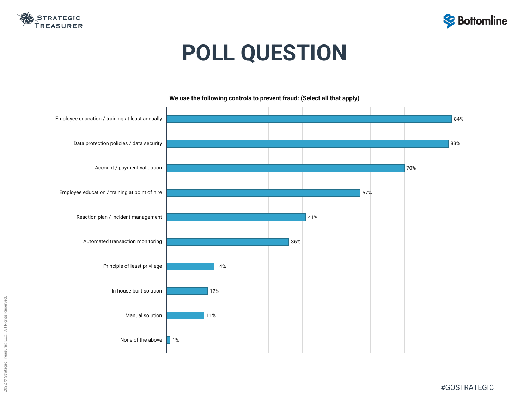



# **POLL QUESTION**



**We use the following controls to prevent fraud: (Select all that apply)**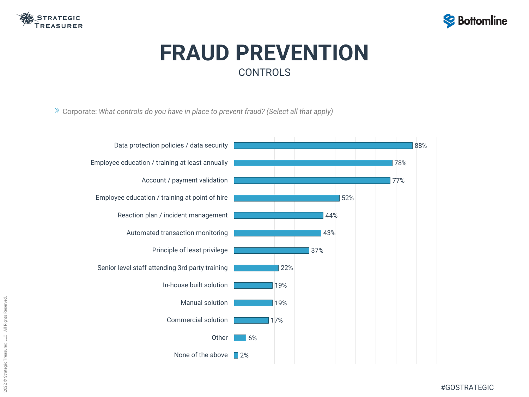

# **FRAUD PREVENTION CONTROLS**

#GOSTRATEGIC

Corporate: *What controls do you have in place to prevent fraud? (Select all that apply)*



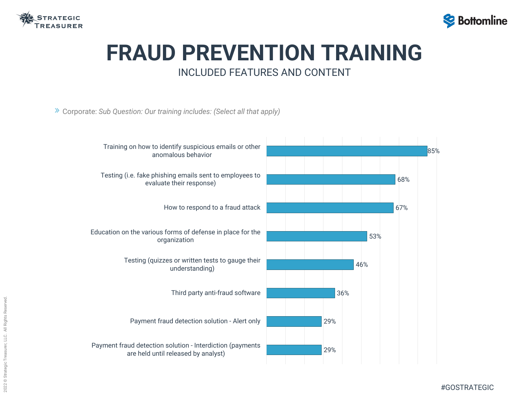

### **FRAUD PREVENTION TRAINING** INCLUDED FEATURES AND CONTENT

Corporate: *Sub Question: Our training includes: (Select all that apply)*





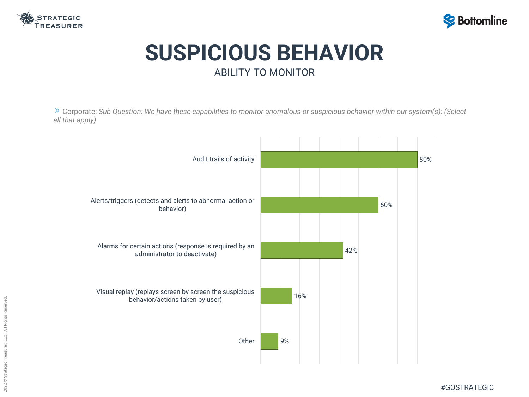



## **SUSPICIOUS BEHAVIOR** ABILITY TO MONITOR

Corporate: *Sub Question: We have these capabilities to monitor anomalous or suspicious behavior within our system(s): (Select all that apply)*

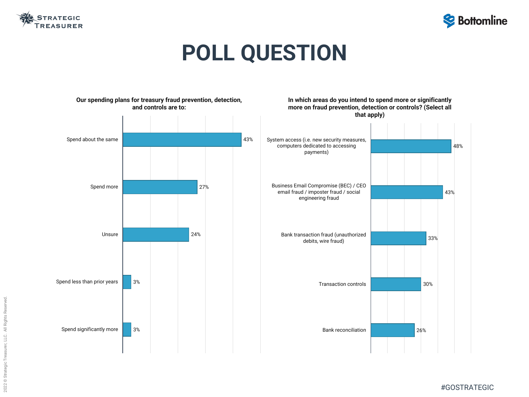





# **POLL QUESTION**

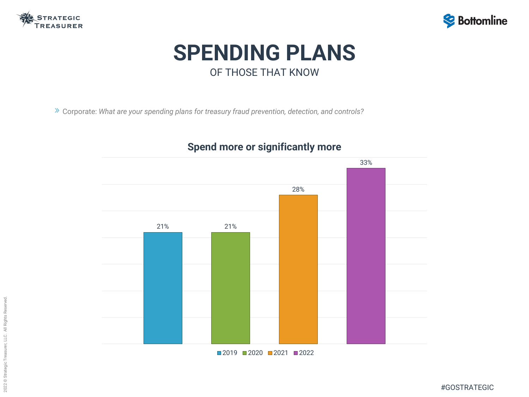





## **SPENDING PLANS** OF THOSE THAT KNOW

Corporate: *What are your spending plans for treasury fraud prevention, detection, and controls?*

### **Spend more or significantly more**

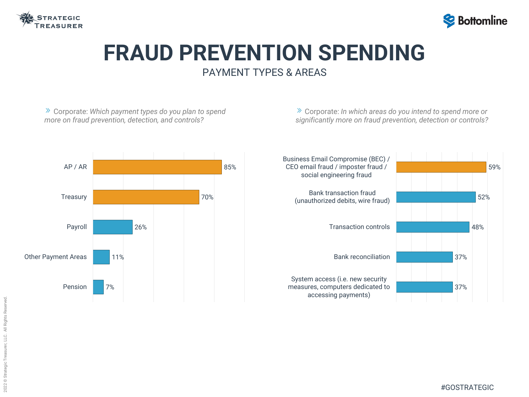

### **FRAUD PREVENTION SPENDING** PAYMENT TYPES & AREAS

Corporate: *Which payment types do you plan to spend more on fraud prevention, detection, and controls?*

Corporate: *In which areas do you intend to spend more or significantly more on fraud prevention, detection or controls?*



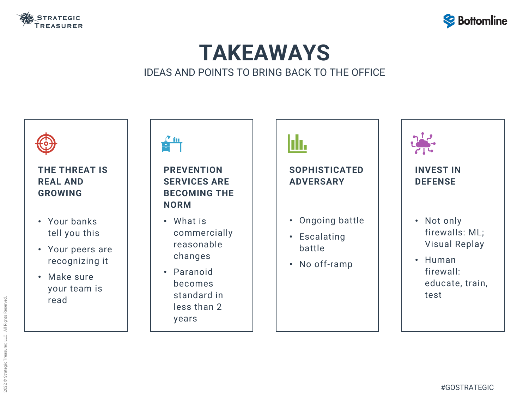

## **TAKEAWAYS** IDEAS AND POINTS TO BRING BACK TO THE OFFICE

#### **INVEST IN DEFENSE**







- Not only firewalls: ML; Visual Replay
- Human firewall: educate, train, test